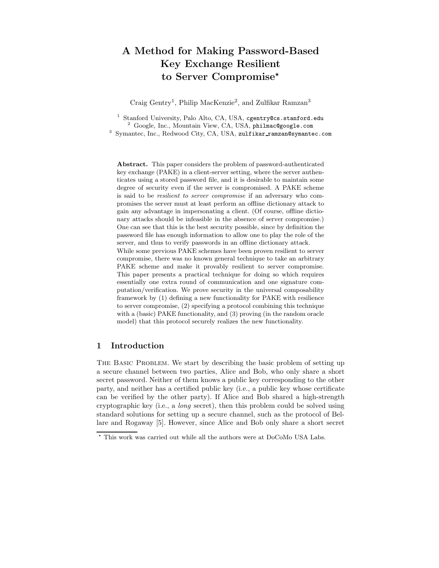# A Method for Making Password-Based Key Exchange Resilient to Server Compromise?

Craig Gentry<sup>1</sup>, Philip MacKenzie<sup>2</sup>, and Zulfikar Ramzan<sup>3</sup>

<sup>1</sup> Stanford University, Palo Alto, CA, USA, cgentry@cs.stanford.edu <sup>2</sup> Google, Inc., Mountain View, CA, USA, philmac@google.com <sup>3</sup> Symantec, Inc., Redwood City, CA, USA, zulfikar\_ramzan@symantec.com

Abstract. This paper considers the problem of password-authenticated key exchange (PAKE) in a client-server setting, where the server authenticates using a stored password file, and it is desirable to maintain some degree of security even if the server is compromised. A PAKE scheme is said to be resilient to server compromise if an adversary who compromises the server must at least perform an offline dictionary attack to gain any advantage in impersonating a client. (Of course, offline dictionary attacks should be infeasible in the absence of server compromise.) One can see that this is the best security possible, since by definition the password file has enough information to allow one to play the role of the server, and thus to verify passwords in an offline dictionary attack. While some previous PAKE schemes have been proven resilient to server compromise, there was no known general technique to take an arbitrary PAKE scheme and make it provably resilient to server compromise. This paper presents a practical technique for doing so which requires essentially one extra round of communication and one signature computation/verification. We prove security in the universal composability framework by (1) defining a new functionality for PAKE with resilience to server compromise, (2) specifying a protocol combining this technique with a (basic) PAKE functionality, and (3) proving (in the random oracle model) that this protocol securely realizes the new functionality.

# 1 Introduction

The Basic Problem. We start by describing the basic problem of setting up a secure channel between two parties, Alice and Bob, who only share a short secret password. Neither of them knows a public key corresponding to the other party, and neither has a certified public key (i.e., a public key whose certificate can be verified by the other party). If Alice and Bob shared a high-strength cryptographic key (i.e., a long secret), then this problem could be solved using standard solutions for setting up a secure channel, such as the protocol of Bellare and Rogaway [5]. However, since Alice and Bob only share a short secret

<sup>?</sup> This work was carried out while all the authors were at DoCoMo USA Labs.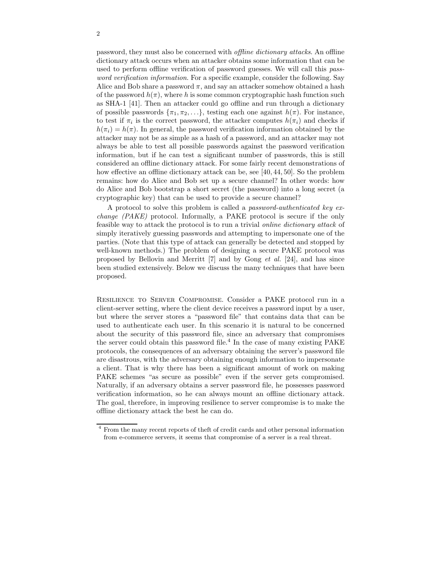password, they must also be concerned with offline dictionary attacks. An offline dictionary attack occurs when an attacker obtains some information that can be used to perform offline verification of password guesses. We will call this password verification information. For a specific example, consider the following. Say Alice and Bob share a password  $\pi$ , and say an attacker somehow obtained a hash of the password  $h(\pi)$ , where h is some common cryptographic hash function such as SHA-1 [41]. Then an attacker could go offline and run through a dictionary of possible passwords  $\{\pi_1, \pi_2, \ldots\}$ , testing each one against  $h(\pi)$ . For instance, to test if  $\pi_i$  is the correct password, the attacker computes  $h(\pi_i)$  and checks if  $h(\pi_i) = h(\pi)$ . In general, the password verification information obtained by the attacker may not be as simple as a hash of a password, and an attacker may not always be able to test all possible passwords against the password verification information, but if he can test a significant number of passwords, this is still considered an offline dictionary attack. For some fairly recent demonstrations of how effective an offline dictionary attack can be, see [40, 44, 50]. So the problem remains: how do Alice and Bob set up a secure channel? In other words: how do Alice and Bob bootstrap a short secret (the password) into a long secret (a cryptographic key) that can be used to provide a secure channel?

A protocol to solve this problem is called a password-authenticated key exchange (PAKE) protocol. Informally, a PAKE protocol is secure if the only feasible way to attack the protocol is to run a trivial online dictionary attack of simply iteratively guessing passwords and attempting to impersonate one of the parties. (Note that this type of attack can generally be detected and stopped by well-known methods.) The problem of designing a secure PAKE protocol was proposed by Bellovin and Merritt  $[7]$  and by Gong *et al.* [24], and has since been studied extensively. Below we discuss the many techniques that have been proposed.

Resilience to Server Compromise. Consider a PAKE protocol run in a client-server setting, where the client device receives a password input by a user, but where the server stores a "password file" that contains data that can be used to authenticate each user. In this scenario it is natural to be concerned about the security of this password file, since an adversary that compromises the server could obtain this password file.<sup>4</sup> In the case of many existing PAKE protocols, the consequences of an adversary obtaining the server's password file are disastrous, with the adversary obtaining enough information to impersonate a client. That is why there has been a significant amount of work on making PAKE schemes "as secure as possible" even if the server gets compromised. Naturally, if an adversary obtains a server password file, he possesses password verification information, so he can always mount an offline dictionary attack. The goal, therefore, in improving resilience to server compromise is to make the offline dictionary attack the best he can do.

 $^4\,$  From the many recent reports of theft of credit cards and other personal information from e-commerce servers, it seems that compromise of a server is a real threat.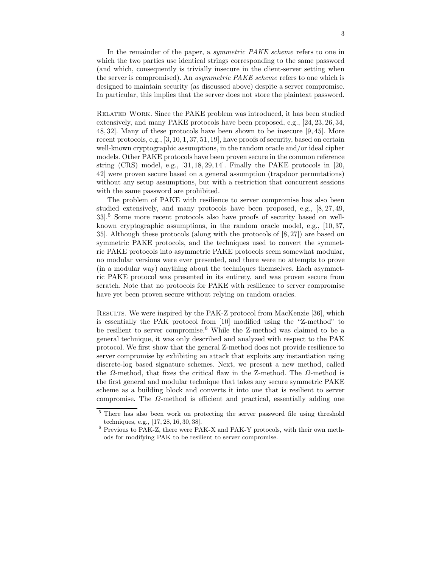In the remainder of the paper, a *symmetric PAKE scheme* refers to one in which the two parties use identical strings corresponding to the same password (and which, consequently is trivially insecure in the client-server setting when the server is compromised). An asymmetric PAKE scheme refers to one which is designed to maintain security (as discussed above) despite a server compromise. In particular, this implies that the server does not store the plaintext password.

Related Work. Since the PAKE problem was introduced, it has been studied extensively, and many PAKE protocols have been proposed, e.g., [24, 23, 26, 34, 48, 32]. Many of these protocols have been shown to be insecure [9, 45]. More recent protocols, e.g., [3, 10, 1, 37, 51, 19], have proofs of security, based on certain well-known cryptographic assumptions, in the random oracle and/or ideal cipher models. Other PAKE protocols have been proven secure in the common reference string (CRS) model, e.g., [31, 18, 29, 14]. Finally the PAKE protocols in [20, 42] were proven secure based on a general assumption (trapdoor permutations) without any setup assumptions, but with a restriction that concurrent sessions with the same password are prohibited.

The problem of PAKE with resilience to server compromise has also been studied extensively, and many protocols have been proposed, e.g., [8, 27, 49, 33].<sup>5</sup> Some more recent protocols also have proofs of security based on wellknown cryptographic assumptions, in the random oracle model, e.g., [10, 37, 35]. Although these protocols (along with the protocols of [8, 27]) are based on symmetric PAKE protocols, and the techniques used to convert the symmetric PAKE protocols into asymmetric PAKE protocols seem somewhat modular, no modular versions were ever presented, and there were no attempts to prove (in a modular way) anything about the techniques themselves. Each asymmetric PAKE protocol was presented in its entirety, and was proven secure from scratch. Note that no protocols for PAKE with resilience to server compromise have yet been proven secure without relying on random oracles.

Results. We were inspired by the PAK-Z protocol from MacKenzie [36], which is essentially the PAK protocol from [10] modified using the "Z-method" to be resilient to server compromise.<sup>6</sup> While the Z-method was claimed to be a general technique, it was only described and analyzed with respect to the PAK protocol. We first show that the general Z-method does not provide resilience to server compromise by exhibiting an attack that exploits any instantiation using discrete-log based signature schemes. Next, we present a new method, called the  $\Omega$ -method, that fixes the critical flaw in the Z-method. The  $\Omega$ -method is the first general and modular technique that takes any secure symmetric PAKE scheme as a building block and converts it into one that is resilient to server compromise. The Ω-method is efficient and practical, essentially adding one

<sup>&</sup>lt;sup>5</sup> There has also been work on protecting the server password file using threshold techniques, e.g., [17, 28, 16, 30, 38].

 $^6$  Previous to PAK-Z, there were PAK-X and PAK-Y protocols, with their own methods for modifying PAK to be resilient to server compromise.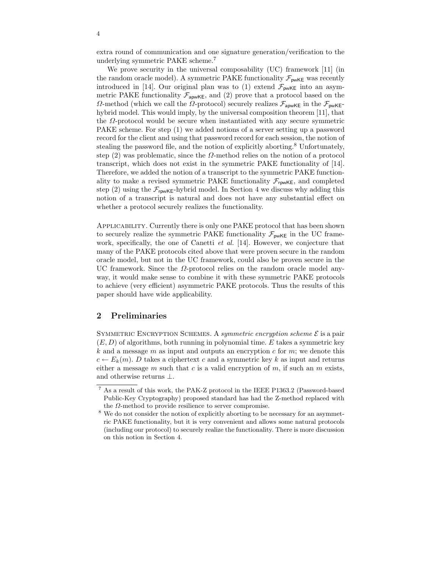extra round of communication and one signature generation/verification to the underlying symmetric PAKE scheme.<sup>7</sup>

We prove security in the universal composability (UC) framework [11] (in the random oracle model). A symmetric PAKE functionality  $\mathcal{F}_{\text{pwKE}}$  was recently introduced in [14]. Our original plan was to (1) extend  $\mathcal{F}_{\text{pwKE}}$  into an asymmetric PAKE functionality  $\mathcal{F}_{\text{apwKE}}$ , and (2) prove that a protocol based on the  $\Omega$ -method (which we call the  $\Omega$ -protocol) securely realizes  $\mathcal{F}_{\text{a} \text{p} \text{w} \text{KE}}$  in the  $\mathcal{F}_{\text{p} \text{w} \text{KE}}$ hybrid model. This would imply, by the universal composition theorem [11], that the Ω-protocol would be secure when instantiated with any secure symmetric PAKE scheme. For step (1) we added notions of a server setting up a password record for the client and using that password record for each session, the notion of stealing the password file, and the notion of explicitly aborting.<sup>8</sup> Unfortunately, step  $(2)$  was problematic, since the  $\Omega$ -method relies on the notion of a protocol transcript, which does not exist in the symmetric PAKE functionality of [14]. Therefore, we added the notion of a transcript to the symmetric PAKE functionality to make a revised symmetric PAKE functionality  $\mathcal{F}_{\text{rpwKE}}$ , and completed step (2) using the  $\mathcal{F}_{\mathsf{rpwKE}}$ -hybrid model. In Section 4 we discuss why adding this notion of a transcript is natural and does not have any substantial effect on whether a protocol securely realizes the functionality.

Applicability. Currently there is only one PAKE protocol that has been shown to securely realize the symmetric PAKE functionality  $\mathcal{F}_{\mathsf{pwKE}}$  in the UC framework, specifically, the one of Canetti *et al.* [14]. However, we conjecture that many of the PAKE protocols cited above that were proven secure in the random oracle model, but not in the UC framework, could also be proven secure in the UC framework. Since the Ω-protocol relies on the random oracle model anyway, it would make sense to combine it with these symmetric PAKE protocols to achieve (very efficient) asymmetric PAKE protocols. Thus the results of this paper should have wide applicability.

# 2 Preliminaries

SYMMETRIC ENCRYPTION SCHEMES. A symmetric encryption scheme  $\mathcal E$  is a pair  $(E, D)$  of algorithms, both running in polynomial time. E takes a symmetric key  $k$  and a message  $m$  as input and outputs an encryption  $c$  for  $m$ ; we denote this  $c \leftarrow E_k(m)$ . D takes a ciphertext c and a symmetric key k as input and returns either a message  $m$  such that  $c$  is a valid encryption of  $m$ , if such an  $m$  exists, and otherwise returns ⊥.

<sup>7</sup> As a result of this work, the PAK-Z protocol in the IEEE P1363.2 (Password-based Public-Key Cryptography) proposed standard has had the Z-method replaced with the Ω-method to provide resilience to server compromise.

<sup>&</sup>lt;sup>8</sup> We do not consider the notion of explicitly aborting to be necessary for an asymmetric PAKE functionality, but it is very convenient and allows some natural protocols (including our protocol) to securely realize the functionality. There is more discussion on this notion in Section 4.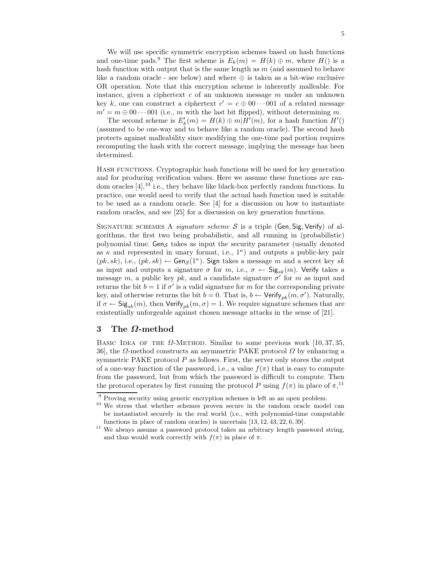We will use specific symmetric encryption schemes based on hash functions and one-time pads.<sup>9</sup> The first scheme is  $E_k(m) = H(k) \oplus m$ , where  $H()$  is a hash function with output that is the same length as  $m$  (and assumed to behave like a random oracle - see below) and where ⊕ is taken as a bit-wise exclusive OR operation. Note that this encryption scheme is inherently malleable. For instance, given a ciphertext  $c$  of an unknown message  $m$  under an unknown key k, one can construct a ciphertext  $c' = c \oplus 00 \cdots 001$  of a related message  $m' = m \oplus 00 \cdots 001$  (i.e., m with the last bit flipped), without determining m.

The second scheme is  $E'_k(m) = H(k) \oplus m|H'(m)$ , for a hash function  $H'(k)$ (assumed to be one-way and to behave like a random oracle). The second hash protects against malleability since modifying the one-time pad portion requires recomputing the hash with the correct message, implying the message has been determined.

Hash functions. Cryptographic hash functions will be used for key generation and for producing verification values. Here we assume these functions are random oracles  $[4]$ ,  $^{10}$  i.e., they behave like black-box perfectly random functions. In practice, one would need to verify that the actual hash function used is suitable to be used as a random oracle. See [4] for a discussion on how to instantiate random oracles, and see [25] for a discussion on key generation functions.

SIGNATURE SCHEMES A *signature scheme S* is a triple (Gen, Sig, Verify) of algorithms, the first two being probabilistic, and all running in (probabilistic) polynomial time. Gens takes as input the security parameter (usually denoted as  $\kappa$  and represented in unary format, i.e.,  $1^{\kappa}$  and outputs a public-key pair  $(pk, sk)$ , i.e.,  $(pk, sk) \leftarrow Gen_{\mathcal{S}}(1^{\kappa})$ . Sign takes a message m and a secret key sk as input and outputs a signature  $\sigma$  for  $m$ , i.e.,  $\sigma \leftarrow \text{Sig}_{sk}(m)$ . Verify takes a message m, a public key pk, and a candidate signature  $\sigma'$  for m as input and returns the bit  $b = 1$  if  $\sigma'$  is a valid signature for m for the corresponding private key, and otherwise returns the bit  $b = 0$ . That is,  $b \leftarrow \mathsf{Verify}_{pk}(m, \sigma')$ . Naturally, if  $\sigma \leftarrow \text{Sig}_{sk}(m)$ , then Verify<sub>nk</sub> $(m, \sigma) = 1$ . We require signature schemes that are existentially unforgeable against chosen message attacks in the sense of [21].

### 3 The Ω-method

BASIC IDEA OF THE  $\Omega$ -METHOD. Similar to some previous work [10, 37, 35, 36], the  $\Omega$ -method constructs an asymmetric PAKE protocol  $\Omega$  by enhancing a symmetric PAKE protocol  $P$  as follows. First, the server only stores the output of a one-way function of the password, i.e., a value  $f(\pi)$  that is easy to compute from the password, but from which the password is difficult to compute. Then the protocol operates by first running the protocol P using  $f(\pi)$  in place of  $\pi$ ,<sup>11</sup>,

<sup>9</sup> Proving security using generic encryption schemes is left as an open problem.

<sup>&</sup>lt;sup>10</sup> We stress that whether schemes proven secure in the random oracle model can be instantiated securely in the real world (i.e., with polynomial-time computable functions in place of random oracles) is uncertain  $[13, 12, 43, 22, 6, 39]$ .

 $^\mathrm{11}$  We always assume a password protocol takes an arbitrary length password string, and thus would work correctly with  $f(\pi)$  in place of  $\pi$ .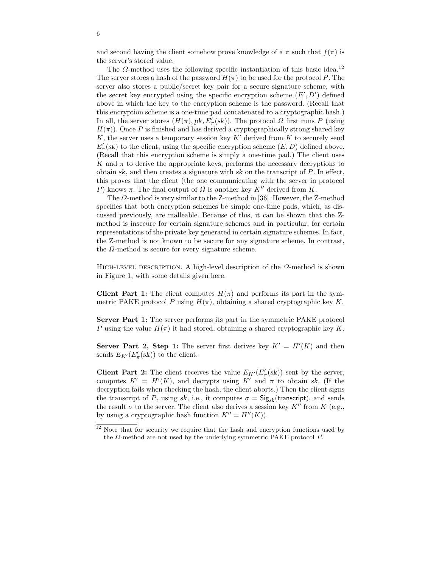and second having the client somehow prove knowledge of a  $\pi$  such that  $f(\pi)$  is the server's stored value.

The  $\Omega$ -method uses the following specific instantiation of this basic idea.<sup>12</sup> The server stores a hash of the password  $H(\pi)$  to be used for the protocol P. The server also stores a public/secret key pair for a secure signature scheme, with the secret key encrypted using the specific encryption scheme  $(E', D')$  defined above in which the key to the encryption scheme is the password. (Recall that this encryption scheme is a one-time pad concatenated to a cryptographic hash.) In all, the server stores  $(H(\pi), pk, E'_{\pi}(sk))$ . The protocol  $\Omega$  first runs P (using  $H(\pi)$ ). Once P is finished and has derived a cryptographically strong shared key K, the server uses a temporary session key  $K'$  derived from K to securely send  $E'_{\pi}$ (sk) to the client, using the specific encryption scheme  $(E, D)$  defined above. (Recall that this encryption scheme is simply a one-time pad.) The client uses K and  $\pi$  to derive the appropriate keys, performs the necessary decryptions to obtain sk, and then creates a signature with sk on the transcript of  $P$ . In effect, this proves that the client (the one communicating with the server in protocol P) knows  $\pi$ . The final output of  $\Omega$  is another key  $K''$  derived from K.

The  $\Omega$ -method is very similar to the Z-method in [36]. However, the Z-method specifies that both encryption schemes be simple one-time pads, which, as discussed previously, are malleable. Because of this, it can be shown that the Zmethod is insecure for certain signature schemes and in particular, for certain representations of the private key generated in certain signature schemes. In fact, the Z-method is not known to be secure for any signature scheme. In contrast, the  $\Omega$ -method is secure for every signature scheme.

HIGH-LEVEL DESCRIPTION. A high-level description of the  $\Omega$ -method is shown in Figure 1, with some details given here.

Client Part 1: The client computes  $H(\pi)$  and performs its part in the symmetric PAKE protocol P using  $H(\pi)$ , obtaining a shared cryptographic key K.

Server Part 1: The server performs its part in the symmetric PAKE protocol P using the value  $H(\pi)$  it had stored, obtaining a shared cryptographic key K.

**Server Part 2, Step 1:** The server first derives key  $K' = H'(K)$  and then sends  $E_{K'}(E'_{\pi}(sk))$  to the client.

**Client Part 2:** The client receives the value  $E_{K'}(E'_{\pi}(sk))$  sent by the server, computes  $K' = H'(K)$ , and decrypts using K' and  $\pi$  to obtain sk. (If the decryption fails when checking the hash, the client aborts.) Then the client signs the transcript of P, using sk, i.e., it computes  $\sigma = \mathsf{Sig}_{sk}$  (transcript), and sends the result  $\sigma$  to the server. The client also derives a session key K<sup>n</sup> from K (e.g., by using a cryptographic hash function  $K'' = H''(K)$ .

6

 $\frac{1}{12}$  Note that for security we require that the hash and encryption functions used by the Ω-method are not used by the underlying symmetric PAKE protocol P.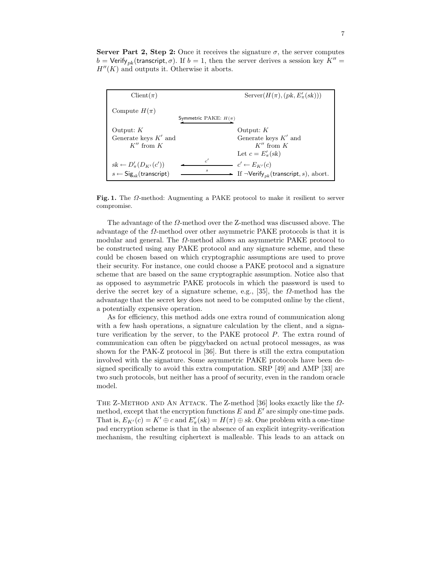Server Part 2, Step 2: Once it receives the signature  $\sigma$ , the server computes b = Verify<sub>pk</sub> (transcript,  $\sigma$ ). If  $b = 1$ , then the server derives a session key  $K'' =$  $H''(K)$  and outputs it. Otherwise it aborts.



Fig. 1. The Ω-method: Augmenting a PAKE protocol to make it resilient to server compromise.

The advantage of the Ω-method over the Z-method was discussed above. The advantage of the  $\Omega$ -method over other asymmetric PAKE protocols is that it is modular and general. The  $\Omega$ -method allows an asymmetric PAKE protocol to be constructed using any PAKE protocol and any signature scheme, and these could be chosen based on which cryptographic assumptions are used to prove their security. For instance, one could choose a PAKE protocol and a signature scheme that are based on the same cryptographic assumption. Notice also that as opposed to asymmetric PAKE protocols in which the password is used to derive the secret key of a signature scheme, e.g., [35], the  $\Omega$ -method has the advantage that the secret key does not need to be computed online by the client, a potentially expensive operation.

As for efficiency, this method adds one extra round of communication along with a few hash operations, a signature calculation by the client, and a signature verification by the server, to the PAKE protocol P. The extra round of communication can often be piggybacked on actual protocol messages, as was shown for the PAK-Z protocol in [36]. But there is still the extra computation involved with the signature. Some asymmetric PAKE protocols have been designed specifically to avoid this extra computation. SRP [49] and AMP [33] are two such protocols, but neither has a proof of security, even in the random oracle model.

THE Z-METHOD AND AN ATTACK. The Z-method [36] looks exactly like the  $\Omega$ method, except that the encryption functions  $E$  and  $E'$  are simply one-time pads. That is,  $E_{K'}(c) = K' \oplus c$  and  $E'_{\pi}(sk) = H(\pi) \oplus sk$ . One problem with a one-time pad encryption scheme is that in the absence of an explicit integrity-verification mechanism, the resulting ciphertext is malleable. This leads to an attack on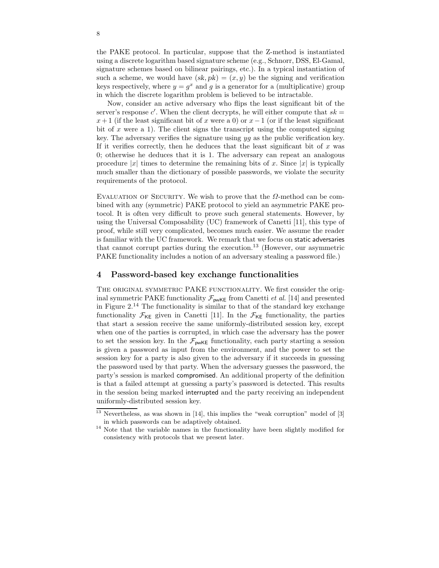the PAKE protocol. In particular, suppose that the Z-method is instantiated using a discrete logarithm based signature scheme (e.g., Schnorr, DSS, El-Gamal, signature schemes based on bilinear pairings, etc.). In a typical instantiation of such a scheme, we would have  $(sk, pk) = (x, y)$  be the signing and verification keys respectively, where  $y = g^x$  and g is a generator for a (multiplicative) group in which the discrete logarithm problem is believed to be intractable.

Now, consider an active adversary who flips the least significant bit of the server's response  $c'$ . When the client decrypts, he will either compute that  $sk =$  $x+1$  (if the least significant bit of x were a 0) or  $x-1$  (or if the least significant bit of  $x$  were a 1). The client signs the transcript using the computed signing key. The adversary verifies the signature using yg as the public verification key. If it verifies correctly, then he deduces that the least significant bit of  $x$  was 0; otherwise he deduces that it is 1. The adversary can repeat an analogous procedure |x| times to determine the remaining bits of x. Since |x| is typically much smaller than the dictionary of possible passwords, we violate the security requirements of the protocol.

EVALUATION OF SECURITY. We wish to prove that the  $\Omega$ -method can be combined with any (symmetric) PAKE protocol to yield an asymmetric PAKE protocol. It is often very difficult to prove such general statements. However, by using the Universal Composability (UC) framework of Canetti [11], this type of proof, while still very complicated, becomes much easier. We assume the reader is familiar with the UC framework. We remark that we focus on static adversaries that cannot corrupt parties during the execution.<sup>13</sup> (However, our asymmetric PAKE functionality includes a notion of an adversary stealing a password file.)

### 4 Password-based key exchange functionalities

THE ORIGINAL SYMMETRIC PAKE FUNCTIONALITY. We first consider the original symmetric PAKE functionality  $\mathcal{F}_{\text{pwKE}}$  from Canetti *et al.* [14] and presented in Figure  $2^{14}$  The functionality is similar to that of the standard key exchange functionality  $\mathcal{F}_{KE}$  given in Canetti [11]. In the  $\mathcal{F}_{KE}$  functionality, the parties that start a session receive the same uniformly-distributed session key, except when one of the parties is corrupted, in which case the adversary has the power to set the session key. In the  $\mathcal{F}_{\text{pwKE}}$  functionality, each party starting a session is given a password as input from the environment, and the power to set the session key for a party is also given to the adversary if it succeeds in guessing the password used by that party. When the adversary guesses the password, the party's session is marked compromised. An additional property of the definition is that a failed attempt at guessing a party's password is detected. This results in the session being marked interrupted and the party receiving an independent uniformly-distributed session key.

 $13$  Nevertheless, as was shown in [14], this implies the "weak corruption" model of [3] in which passwords can be adaptively obtained.

<sup>&</sup>lt;sup>14</sup> Note that the variable names in the functionality have been slightly modified for consistency with protocols that we present later.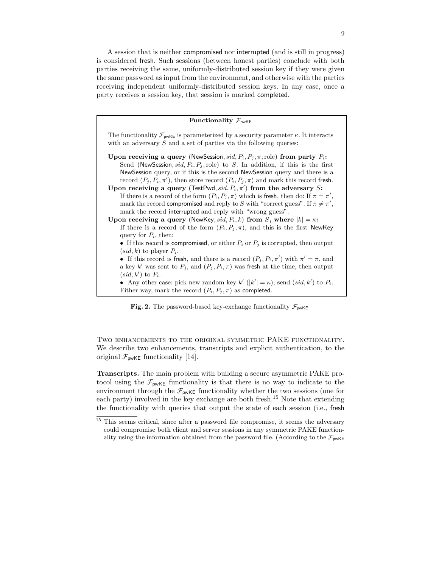A session that is neither compromised nor interrupted (and is still in progress) is considered fresh. Such sessions (between honest parties) conclude with both parties receiving the same, uniformly-distributed session key if they were given the same password as input from the environment, and otherwise with the parties receiving independent uniformly-distributed session keys. In any case, once a party receives a session key, that session is marked completed.

### Functionality  $\mathcal{F}_{\text{pwKE}}$

The functionality  $\mathcal{F}_{\text{pwKE}}$  is parameterized by a security parameter  $\kappa$ . It interacts with an adversary  $S$  and a set of parties via the following queries:

- Upon receiving a query (NewSession,  $sid, P_i, P_j, \pi,$  role) from party  $P_i$ : Send (NewSession,  $sid, P_i, P_j$ , role) to S. In addition, if this is the first NewSession query, or if this is the second NewSession query and there is a record  $(P_j, P_i, \pi')$ , then store record  $(P_i, P_j, \pi)$  and mark this record fresh.
- Upon receiving a query (TestPwd,  $sid, P_i, \pi'$ ) from the adversary S: If there is a record of the form  $(P_i, P_j, \pi)$  which is fresh, then do: If  $\pi = \pi'$ , mark the record compromised and reply to S with "correct guess". If  $\pi \neq \pi'$ , mark the record interrupted and reply with "wrong guess".
- Upon receiving a query (NewKey, sid,  $P_i, k$ ) from S, where  $|k| = \kappa$ : If there is a record of the form  $(P_i, P_j, \pi)$ , and this is the first NewKey query for  $P_i$ , then:

• If this record is compromised, or either  $P_i$  or  $P_j$  is corrupted, then output  $(sid, k)$  to player  $P_i$ .

• If this record is fresh, and there is a record  $(P_j, P_i, \pi')$  with  $\pi' = \pi$ , and a key k' was sent to  $P_j$ , and  $(P_j, P_i, \pi)$  was fresh at the time, then output  $(\dot{sid}, k')$  to  $P_i$ . • Any other case: pick new random key  $k'$  ( $|k'| = \kappa$ ); send  $(sid, k')$  to  $P_i$ .

Either way, mark the record  $(P_i, P_j, \pi)$  as completed.

Fig. 2. The password-based key-exchange functionality  $\mathcal{F}_{\text{pwKE}}$ 

TWO ENHANCEMENTS TO THE ORIGINAL SYMMETRIC PAKE FUNCTIONALITY. We describe two enhancements, transcripts and explicit authentication, to the original  $\mathcal{F}_{\text{pwKE}}$  functionality [14].

Transcripts. The main problem with building a secure asymmetric PAKE protocol using the  $\mathcal{F}_{\text{pwKE}}$  functionality is that there is no way to indicate to the environment through the  $\mathcal{F}_{\mathsf{pwKE}}$  functionality whether the two sessions (one for each party) involved in the key exchange are both fresh.<sup>15</sup> Note that extending the functionality with queries that output the state of each session (i.e., fresh

<sup>&</sup>lt;sup>15</sup> This seems critical, since after a password file compromise, it seems the adversary could compromise both client and server sessions in any symmetric PAKE functionality using the information obtained from the password file. (According to the  $\mathcal{F}_{\text{pwKE}}$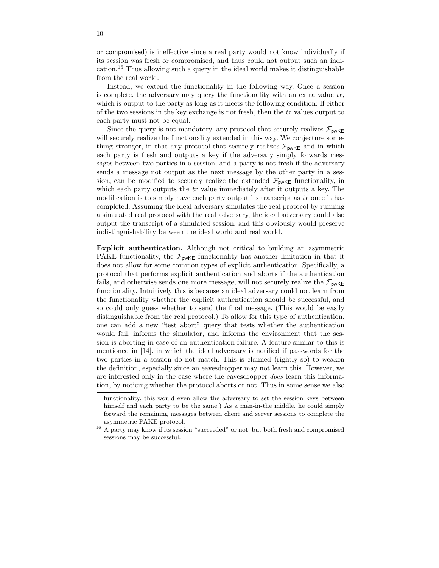or compromised) is ineffective since a real party would not know individually if its session was fresh or compromised, and thus could not output such an indication.<sup>16</sup> Thus allowing such a query in the ideal world makes it distinguishable from the real world.

Instead, we extend the functionality in the following way. Once a session is complete, the adversary may query the functionality with an extra value tr, which is output to the party as long as it meets the following condition: If either of the two sessions in the key exchange is not fresh, then the tr values output to each party must not be equal.

Since the query is not mandatory, any protocol that securely realizes  $\mathcal{F}_{\text{pwKE}}$ will securely realize the functionality extended in this way. We conjecture something stronger, in that any protocol that securely realizes  $\mathcal{F}_{\text{pwKE}}$  and in which each party is fresh and outputs a key if the adversary simply forwards messages between two parties in a session, and a party is not fresh if the adversary sends a message not output as the next message by the other party in a session, can be modified to securely realize the extended  $\mathcal{F}_{\text{pwKE}}$  functionality, in which each party outputs the tr value immediately after it outputs a key. The modification is to simply have each party output its transcript as tr once it has completed. Assuming the ideal adversary simulates the real protocol by running a simulated real protocol with the real adversary, the ideal adversary could also output the transcript of a simulated session, and this obviously would preserve indistinguishability between the ideal world and real world.

Explicit authentication. Although not critical to building an asymmetric PAKE functionality, the  $\mathcal{F}_{\text{pwKE}}$  functionality has another limitation in that it does not allow for some common types of explicit authentication. Specifically, a protocol that performs explicit authentication and aborts if the authentication fails, and otherwise sends one more message, will not securely realize the  $\mathcal{F}_{\text{pwKE}}$ functionality. Intuitively this is because an ideal adversary could not learn from the functionality whether the explicit authentication should be successful, and so could only guess whether to send the final message. (This would be easily distinguishable from the real protocol.) To allow for this type of authentication, one can add a new "test abort" query that tests whether the authentication would fail, informs the simulator, and informs the environment that the session is aborting in case of an authentication failure. A feature similar to this is mentioned in [14], in which the ideal adversary is notified if passwords for the two parties in a session do not match. This is claimed (rightly so) to weaken the definition, especially since an eavesdropper may not learn this. However, we are interested only in the case where the eavesdropper does learn this information, by noticing whether the protocol aborts or not. Thus in some sense we also

functionality, this would even allow the adversary to set the session keys between himself and each party to be the same.) As a man-in-the middle, he could simply forward the remaining messages between client and server sessions to complete the asymmetric PAKE protocol.

 $^{16}$  A party may know if its session "succeeded" or not, but both fresh and compromised sessions may be successful.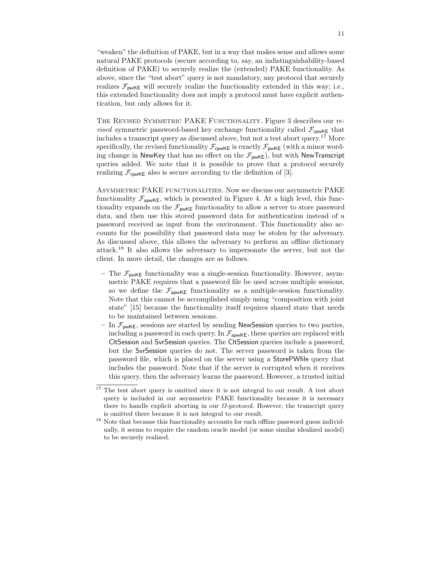"weaken" the definition of PAKE, but in a way that makes sense and allows some natural PAKE protocols (secure according to, say, an indistinguishability-based definition of PAKE) to securely realize the (extended) PAKE functionality. As above, since the "test abort" query is not mandatory, any protocol that securely realizes  $\mathcal{F}_{\text{pwKE}}$  will securely realize the functionality extended in this way; i.e., this extended functionality does not imply a protocol must have explicit authentication, but only allows for it.

THE REVISED SYMMETRIC PAKE FUNCTIONALITY. Figure 3 describes our re*vised* symmetric password-based key exchange functionality called  $\mathcal{F}_{\text{rowKE}}$  that includes a transcript query as discussed above, but not a test abort query.<sup>17</sup> More specifically, the revised functionality  $\mathcal{F}_{\text{rpwKE}}$  is exactly  $\mathcal{F}_{\text{pwKE}}$  (with a minor wording change in NewKey that has no effect on the  $\mathcal{F}_{pwKE}$ , but with NewTranscript queries added. We note that it is possible to prove that a protocol securely realizing  $\mathcal{F}_{\text{rpwKE}}$  also is secure according to the definition of [3].

ASYMMETRIC PAKE FUNCTIONALITIES. Now we discuss our asymmetric PAKE functionality  $\mathcal{F}_{apwKE}$ , which is presented in Figure 4. At a high level, this functionality expands on the  $\mathcal{F}_{\text{pwKE}}$  functionality to allow a server to store password data, and then use this stored password data for authentication instead of a password received as input from the environment. This functionality also accounts for the possibility that password data may be stolen by the adversary. As discussed above, this allows the adversary to perform an offline dictionary attack.<sup>18</sup> It also allows the adversary to impersonate the server, but not the client. In more detail, the changes are as follows.

- The  $\mathcal{F}_{\mathsf{pwKE}}$  functionality was a single-session functionality. However, asymmetric PAKE requires that a password file be used across multiple sessions, so we define the  $\mathcal{F}_{\mathsf{apwKE}}$  functionality as a multiple-session functionality. Note that this cannot be accomplished simply using "composition with joint state" [15] because the functionality itself requires shared state that needs to be maintained between sessions.
- In  $\mathcal{F}_{\text{pwKE}}$ , sessions are started by sending NewSession queries to two parties, including a password in each query. In  $\mathcal{F}_{\mathsf{apwKE}}$ , these queries are replaced with CltSession and SvrSession queries. The CltSession queries include a password, but the SvrSession queries do not. The server password is taken from the password file, which is placed on the server using a StorePWfile query that includes the password. Note that if the server is corrupted when it receives this query, then the adversary learns the password. However, a trusted initial

<sup>&</sup>lt;sup>17</sup> The test abort query is omitted since it is not integral to our result. A test abort query is included in our asymmetric PAKE functionality because it is necessary there to handle explicit aborting in our  $\Omega$ -protocol. However, the transcript query is omitted there because it is not integral to our result.

 $^{18}$  Note that because this functionality accounts for each offline password guess individually, it seems to require the random oracle model (or some similar idealized model) to be securely realized.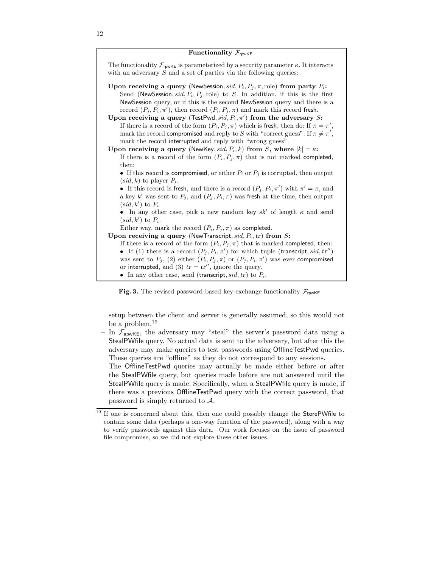#### Functionality  $\mathcal{F}_{\text{rpwKE}}$

The functionality  $\mathcal{F}_{\text{rpwKE}}$  is parameterized by a security parameter  $\kappa$ . It interacts with an adversary  $S$  and a set of parties via the following queries:

- Upon receiving a query (NewSession,  $sid, P_i, P_j, \pi,$  role) from party  $P_i$ : Send (NewSession, sid,  $P_i$ ,  $P_j$ , role) to S. In addition, if this is the first NewSession query, or if this is the second NewSession query and there is a record  $(P_j, P_i, \pi^{\prime})$ , then record  $(P_i, P_j, \pi)$  and mark this record fresh.
- Upon receiving a query (TestPwd,  $sid, P_i, \pi'$ ) from the adversary S: If there is a record of the form  $(P_i, P_j, \pi)$  which is fresh, then do: If  $\pi = \pi'$ , mark the record compromised and reply to S with "correct guess". If  $\pi \neq \pi'$ , mark the record interrupted and reply with "wrong guess".
- Upon receiving a query (NewKey, sid,  $P_i, k$ ) from S, where  $|k| = \kappa$ : If there is a record of the form  $(P_i, P_j, \pi)$  that is not marked completed, then:
	- If this record is compromised, or either  $P_i$  or  $P_j$  is corrupted, then output  $(sid, k)$  to player  $P_i$ .
	- If this record is fresh, and there is a record  $(P_j, P_i, \pi')$  with  $\pi' = \pi$ , and a key k' was sent to  $P_j$ , and  $(P_j, P_i, \pi)$  was fresh at the time, then output  $(\dot{sid}, k')$  to  $P_i$ .
	- In any other case, pick a new random key  $sk'$  of length  $\kappa$  and send  $(sid, k')$  to  $P_i$ .

Either way, mark the record  $(P_i, P_j, \pi)$  as completed.

Upon receiving a query (NewTranscript,  $sid, P_i, tr)$  from  $S$ :

- If there is a record of the form  $(P_i, P_j, \pi)$  that is marked completed, then: • If (1) there is a record  $(P_j, P_i, \pi')$  for which tuple (transcript, sid, tr'') was sent to  $P_j$ , (2) either  $(P_i, P_j, \pi)$  or  $(P_j, P_i, \pi')$  was ever compromised or interrupted, and (3)  $tr = tr''$ , ignore the query.
- In any other case, send (transcript, sid, tr) to  $P_i$ .



setup between the client and server is generally assumed, so this would not be a problem.<sup>19</sup>

– In  $\mathcal{F}_{\text{aowKE}}$ , the adversary may "steal" the server's password data using a StealPWfile query. No actual data is sent to the adversary, but after this the adversary may make queries to test passwords using OfflineTestPwd queries. These queries are "offline" as they do not correspond to any sessions.

The OfflineTestPwd queries may actually be made either before or after the StealPWfile query, but queries made before are not answered until the StealPWfile query is made. Specifically, when a StealPWfile query is made, if there was a previous OfflineTestPwd query with the correct password, that password is simply returned to A.

<sup>&</sup>lt;sup>19</sup> If one is concerned about this, then one could possibly change the StorePWfile to contain some data (perhaps a one-way function of the password), along with a way to verify passwords against this data. Our work focuses on the issue of password file compromise, so we did not explore these other issues.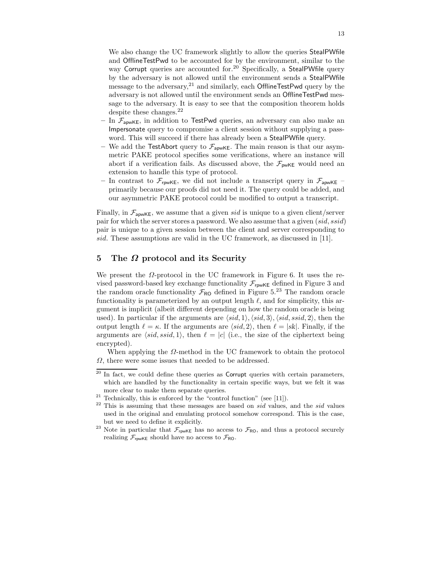We also change the UC framework slightly to allow the queries StealPWfile and OfflineTestPwd to be accounted for by the environment, similar to the way Corrupt queries are accounted for.<sup>20</sup> Specifically, a StealPWfile query by the adversary is not allowed until the environment sends a StealPWfile message to the adversary, $^{21}$  and similarly, each OfflineTestPwd query by the adversary is not allowed until the environment sends an OfflineTestPwd message to the adversary. It is easy to see that the composition theorem holds despite these changes.<sup>22</sup>

- In  $\mathcal{F}_{\text{apwKE}}$ , in addition to TestPwd queries, an adversary can also make an Impersonate query to compromise a client session without supplying a password. This will succeed if there has already been a StealPWfile query.
- We add the TestAbort query to  $\mathcal{F}_{a}$ <sub>pwKE</sub>. The main reason is that our asymmetric PAKE protocol specifies some verifications, where an instance will abort if a verification fails. As discussed above, the  $\mathcal{F}_{\text{pwKE}}$  would need an extension to handle this type of protocol.
- In contrast to  $\mathcal{F}_{\mathsf{rpwKE}}$ , we did not include a transcript query in  $\mathcal{F}_{\mathsf{apwKE}}$  primarily because our proofs did not need it. The query could be added, and our asymmetric PAKE protocol could be modified to output a transcript.

Finally, in  $\mathcal{F}_{\mathsf{apwKE}}$ , we assume that a given sid is unique to a given client/server pair for which the server stores a password. We also assume that a given (sid, ssid) pair is unique to a given session between the client and server corresponding to sid. These assumptions are valid in the UC framework, as discussed in [11].

# 5 The  $\Omega$  protocol and its Security

We present the  $\Omega$ -protocol in the UC framework in Figure 6. It uses the revised password-based key exchange functionality  $\mathcal{F}_{\text{rpwKE}}$  defined in Figure 3 and the random oracle functionality  $\mathcal{F}_{\text{RO}}$  defined in Figure 5.<sup>23</sup> The random oracle functionality is parameterized by an output length  $\ell$ , and for simplicity, this argument is implicit (albeit different depending on how the random oracle is being used). In particular if the arguments are  $\langle sid, 1\rangle, \langle sid, 3\rangle, \langle sid, ssid, 2\rangle$ , then the output length  $\ell = \kappa$ . If the arguments are  $\langle sid, 2 \rangle$ , then  $\ell = |sk|$ . Finally, if the arguments are  $\langle sid, ssid, 1 \rangle$ , then  $\ell = |c|$  (i.e., the size of the ciphertext being encrypted).

When applying the  $\Omega$ -method in the UC framework to obtain the protocol  $\Omega$ , there were some issues that needed to be addressed.

 $20$  In fact, we could define these queries as Corrupt queries with certain parameters, which are handled by the functionality in certain specific ways, but we felt it was more clear to make them separate queries.

<sup>&</sup>lt;sup>21</sup> Technically, this is enforced by the "control function" (see [11]).

 $22$  This is assuming that these messages are based on sid values, and the sid values used in the original and emulating protocol somehow correspond. This is the case, but we need to define it explicitly.

<sup>&</sup>lt;sup>23</sup> Note in particular that  $\mathcal{F}_{\text{rpwKE}}$  has no access to  $\mathcal{F}_{\text{RO}}$ , and thus a protocol securely realizing  $\mathcal{F}_{\mathsf{rpwKE}}$  should have no access to  $\mathcal{F}_{\mathsf{RO}}$ .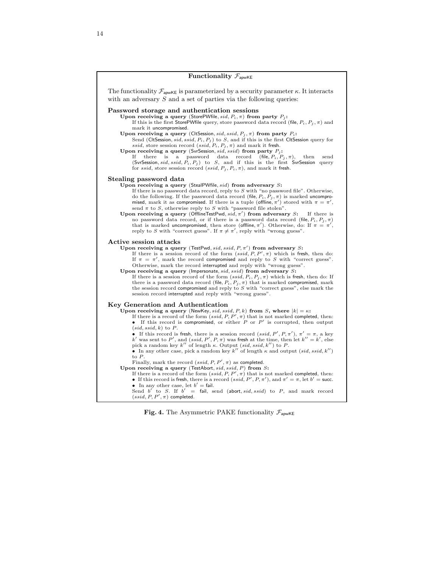# Functionality  $\mathcal{F}_{\mathsf{apwKE}}$

| The functionality $\mathcal{F}_{\text{apwKE}}$ is parameterized by a security parameter $\kappa$ . It interacts<br>with an adversary $S$ and a set of parties via the following queries:                                                                                                                                                                                                                                                                                                                                                                                                                                                                                                                                                                                                                                                                                                                                                                                                                                                                                                                                                                                                                                                   |
|--------------------------------------------------------------------------------------------------------------------------------------------------------------------------------------------------------------------------------------------------------------------------------------------------------------------------------------------------------------------------------------------------------------------------------------------------------------------------------------------------------------------------------------------------------------------------------------------------------------------------------------------------------------------------------------------------------------------------------------------------------------------------------------------------------------------------------------------------------------------------------------------------------------------------------------------------------------------------------------------------------------------------------------------------------------------------------------------------------------------------------------------------------------------------------------------------------------------------------------------|
| Password storage and authentication sessions<br>Upon receiving a query (StorePWfile, sid, $P_i$ , $\pi$ ) from party $P_i$ :<br>If this is the first StorePWfile query, store password data record (file, $P_i$ , $P_j$ , $\pi$ ) and<br>mark it uncompromised.<br>Upon receiving a query (CltSession, sid, ssid, $P_j$ , $\pi$ ) from party $P_i$ :<br>Send (CltSession, sid, ssid, $P_i$ , $P_j$ ) to S, and if this is the first CltSession query for<br>ssid, store session record (ssid, $P_i$ , $P_j$ , $\pi$ ) and mark it fresh.<br>Upon receiving a query (SvrSession, sid, ssid) from party $P_i$ :<br>a password data record (file, $P_i$ , $P_j$ , $\pi$ ),<br>there<br>then<br>Ιf<br>is<br>send<br>(SvrSession, sid, ssid, $P_i$ , $P_j$ ) to S, and if this is the first SvrSession query<br>for ssid, store session record (ssid, $P_i$ , $P_i$ , $\pi$ ), and mark it fresh.                                                                                                                                                                                                                                                                                                                                               |
| Stealing password data<br>Upon receiving a query (StealPWfile, $sid$ ) from adversary $S$ :<br>If there is no password data record, reply to $S$ with "no password file". Otherwise,<br>do the following. If the password data record (file, $P_i$ , $P_j$ , $\pi$ ) is marked uncompro-<br>mised, mark it as compromised. If there is a tuple (offline, $\pi'$ ) stored with $\pi = \pi'$ ,<br>send $\pi$ to S, otherwise reply to S with "password file stolen".<br>Upon receiving a query (OfflineTestPwd, $sid, \pi'$ ) from adversary S: If there is<br>no password data record, or if there is a password data record (file, $P_i$ , $P_j$ , $\pi$ )<br>that is marked uncompromised, then store (offline, $\pi'$ ). Otherwise, do: If $\pi = \pi'$ ,<br>reply to S with "correct guess". If $\pi \neq \pi'$ , reply with "wrong guess".                                                                                                                                                                                                                                                                                                                                                                                             |
| Active session attacks<br>Upon receiving a query (TestPwd, sid, ssid, $P, \pi'$ ) from adversary S:<br>If there is a session record of the form $(ssid, P, P', \pi)$ which is fresh, then do:<br>If $\pi = \pi'$ , mark the record compromised and reply to S with "correct guess".<br>Otherwise, mark the record interrupted and reply with "wrong guess".<br>Upon receiving a query (Impersonate, $sid$ , $ssid$ ) from adversary $S$ :<br>If there is a session record of the form $(ssid, P_i, P_j, \pi)$ which is fresh, then do: If<br>there is a password data record (file, $P_i$ , $P_j$ , $\pi$ ) that is marked compromised, mark<br>the session record compromised and reply to $S$ with "correct guess", else mark the<br>session record interrupted and reply with "wrong guess".                                                                                                                                                                                                                                                                                                                                                                                                                                            |
| Key Generation and Authentication<br>Upon receiving a query (NewKey, sid, ssid, P, k) from S, where $ k  = \kappa$ :<br>If there is a record of the form $(ssid, P, P', \pi)$ that is not marked completed, then:<br>• If this record is compromised, or either $P$ or $P'$ is corrupted, then output<br>$(sid, ssid, k)$ to P.<br>• If this record is fresh, there is a session record $(ssid, P', P, \pi'), \pi' = \pi$ , a key<br>k' was sent to P', and $(ssid, P', P, \pi)$ was fresh at the time, then let $k'' = k'$ , else<br>pick a random key $k''$ of length $\kappa$ . Output (sid, ssid, k'') to P.<br>• In any other case, pick a random key k'' of length $\kappa$ and output (sid, ssid, k'')<br>to P.<br>Finally, mark the record $(ssid, P, P', \pi)$ as completed.<br>Upon receiving a query (TestAbort, $sid, ssid, P$ ) from $S$ :<br>If there is a record of the form $(ssid, P, P', \pi)$ that is not marked completed, then:<br>• If this record is fresh, there is a record (ssid, P', P, $\pi'$ ), and $\pi' = \pi$ , let $b' =$ succ.<br>• In any other case, let $b' = \text{fail.}$<br>Send b' to S. If $b' = \text{fail}$ , send (abort, sid, ssid) to P, and mark record<br>$(ssid, P, P', \pi)$ completed. |

 $\mathbf{Fig. 4.}$  The Asymmetric PAKE functionality  $\mathcal{F}_{\mathsf{apwKE}}$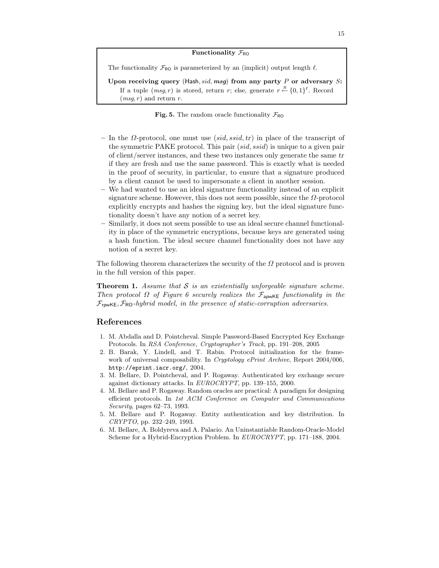#### Functionality  $\mathcal{F}_{RO}$

The functionality  $\mathcal{F}_{RO}$  is parameterized by an (implicit) output length  $\ell$ .

Upon receiving query (Hash, sid, msg) from any party  $P$  or adversary  $S$ : If a tuple  $(msg, r)$  is stored, return r; else, generate  $r \stackrel{R}{\leftarrow} \{0,1\}^{\ell}$ . Record  $(msg, r)$  and return r.

Fig. 5. The random oracle functionality  $\mathcal{F}_{\text{RO}}$ 

- In the  $\Omega$ -protocol, one must use (sid, ssid, tr) in place of the transcript of the symmetric PAKE protocol. This pair (sid, ssid) is unique to a given pair of client/server instances, and these two instances only generate the same tr if they are fresh and use the same password. This is exactly what is needed in the proof of security, in particular, to ensure that a signature produced by a client cannot be used to impersonate a client in another session.
- We had wanted to use an ideal signature functionality instead of an explicit signature scheme. However, this does not seem possible, since the  $\Omega$ -protocol explicitly encrypts and hashes the signing key, but the ideal signature functionality doesn't have any notion of a secret key.
- Similarly, it does not seem possible to use an ideal secure channel functionality in place of the symmetric encryptions, because keys are generated using a hash function. The ideal secure channel functionality does not have any notion of a secret key.

The following theorem characterizes the security of the  $\Omega$  protocol and is proven in the full version of this paper.

**Theorem 1.** Assume that  $S$  is an existentially unforgeable signature scheme. Then protocol  $\Omega$  of Figure 6 securely realizes the  $\mathcal{F}_{\text{apwKE}}$  functionality in the  $\mathcal{F}_{\text{rpwKE}}, \mathcal{F}_{\text{RO}}$ -hybrid model, in the presence of static-corruption adversaries.

## References

- 1. M. Abdalla and D. Pointcheval. Simple Password-Based Encrypted Key Exchange Protocols. In RSA Conference, Cryptographer's Track, pp. 191–208, 2005
- 2. B. Barak, Y. Lindell, and T. Rabin. Protocol initialization for the framework of universal composability. In *Cryptology ePrint Archive*, Report 2004/006, http://eprint.iacr.org/, 2004.
- 3. M. Bellare, D. Pointcheval, and P. Rogaway. Authenticated key exchange secure against dictionary attacks. In EUROCRYPT, pp. 139–155, 2000.
- 4. M. Bellare and P. Rogaway. Random oracles are practical: A paradigm for designing efficient protocols. In 1st ACM Conference on Computer and Communications Security, pages 62–73, 1993.
- 5. M. Bellare and P. Rogaway. Entity authentication and key distribution. In CRYPTO, pp. 232–249, 1993.
- 6. M. Bellare, A. Boldyreva and A. Palacio. An Uninstantiable Random-Oracle-Model Scheme for a Hybrid-Encryption Problem. In EUROCRYPT, pp. 171–188, 2004.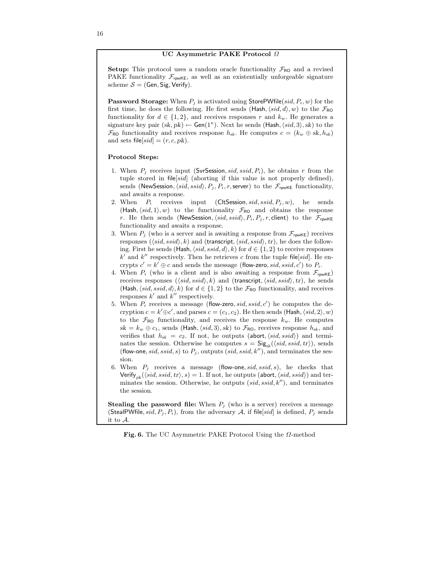#### UC Asymmetric PAKE Protocol Ω

**Setup:** This protocol uses a random oracle functionality  $\mathcal{F}_{\text{RO}}$  and a revised PAKE functionality  $\mathcal{F}_{\text{rowKE}}$ , as well as an existentially unforgeable signature scheme  $S = (Gen, Sig, Verify).$ 

**Password Storage:** When  $P_j$  is activated using StorePWfile(sid,  $P_i$ , w) for the first time, he does the following. He first sends (Hash,  $\langle sid, d \rangle$ , w) to the  $\mathcal{F}_{RO}$ functionality for  $d \in \{1,2\}$ , and receives responses r and  $k_w$ . He generates a signature key pair  $(sk, pk) \leftarrow$  Gen(1<sup> $\kappa$ </sup>). Next he sends (Hash,  $\langle sid, 3 \rangle$ , sk) to the  $\mathcal{F}_{\text{RO}}$  functionality and receives response  $h_{sk}$ . He computes  $c = (k_w \oplus sk, h_{sk})$ and sets file[sid] =  $(r, c, pk)$ .

### Protocol Steps:

- 1. When  $P_i$  receives input (SvrSession, sid, ssid,  $P_i$ ), he obtains r from the tuple stored in file[ $sid$ ] (aborting if this value is not properly defined), sends (NewSession,  $\langle sid, ssid \rangle, P_j, P_i, r$ , server) to the  $\mathcal{F}_{\text{rpwKE}}$  functionality, and awaits a response.
- 2. When  $P_i$  receives input (CltSession, sid, ssid,  $P_j$ , w), he sends  $(Hash, \langle sid, 1\rangle, w)$  to the functionality  $\mathcal{F}_{RO}$  and obtains the response r. He then sends (NewSession,  $\langle sid, sid \rangle, P_i, P_j, r$ , client) to the  $\mathcal{F}_{\text{rpwKE}}$ functionality and awaits a response.
- 3. When  $P_j$  (who is a server and is awaiting a response from  $\mathcal{F}_{\text{rpwKE}}$ ) receives responses  $(\langle sid, said \rangle, k)$  and (transcript,  $\langle sid, said \rangle, tr)$ , he does the following. First he sends (Hash,  $\langle sid, ssid, d \rangle, k$ ) for  $d \in \{1, 2\}$  to receive responses  $k'$  and  $k''$  respectively. Then he retrieves c from the tuple file[sid]. He encrypts  $c' = k' \oplus c$  and sends the message (flow-zero, sid, ssid, c') to  $P_i$ .
- 4. When  $P_i$  (who is a client and is also awaiting a response from  $\mathcal{F}_{\text{rpwKE}}$ ) receives responses  $(\langle sid, ssid \rangle, k)$  and (transcript,  $\langle sid, ssid \rangle, tr)$ , he sends (Hash,  $\langle sid, sid, d \rangle, k$ ) for  $d \in \{1, 2\}$  to the  $\mathcal{F}_{RO}$  functionality, and receives responses  $k'$  and  $k''$  respectively.
- 5. When  $P_i$  receives a message (flow-zero, sid, ssid, c') he computes the decryption  $c = k' \oplus c'$ , and parses  $c = (c_1, c_2)$ . He then sends (Hash,  $\langle sid, 2 \rangle$ , w) to the  $\mathcal{F}_{\text{RO}}$  functionality, and receives the response  $k_w$ . He computes  $sk = k_w \oplus c_1$ , sends (Hash,  $\langle sid, 3\rangle$ , sk) to  $\mathcal{F}_{RO}$ , receives response  $h_{sk}$ , and verifies that  $h_{sk} = c_2$ . If not, he outputs (abort,  $\langle sid, sid \rangle$ ) and terminates the session. Otherwise he computes  $s = \text{Sig}_{sk}(\langle sid, sid, tr \rangle)$ , sends (flow-one, sid, ssid, s) to  $P_j$ , outputs (sid, ssid, k''), and terminates the session.
- 6. When  $P_i$  receives a message (flow-one, sid, ssid, s), he checks that Verify<sub>pk</sub> ((sid, ssid, tr), s) = 1. If not, he outputs (abort,  $\langle sid, ssid \rangle$ ) and terminates the session. Otherwise, he outputs  $(sid, ssid, k'')$ , and terminates the session.

**Stealing the password file:** When  $P_j$  (who is a server) receives a message (StealPWfile,  $sid, P_i, P_i$ ), from the adversary A, if file  $sid$  is defined,  $P_i$  sends it to A.

Fig. 6. The UC Asymmetric PAKE Protocol Using the Ω-method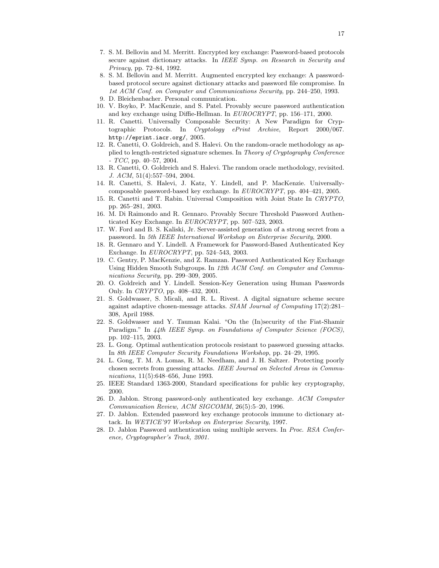- 7. S. M. Bellovin and M. Merritt. Encrypted key exchange: Password-based protocols secure against dictionary attacks. In IEEE Symp. on Research in Security and Privacy, pp. 72–84, 1992.
- 8. S. M. Bellovin and M. Merritt. Augmented encrypted key exchange: A passwordbased protocol secure against dictionary attacks and password file compromise. In 1st ACM Conf. on Computer and Communications Security, pp. 244–250, 1993.
- 9. D. Bleichenbacher. Personal communication.
- 10. V. Boyko, P. MacKenzie, and S. Patel. Provably secure password authentication and key exchange using Diffie-Hellman. In EUROCRYPT, pp. 156–171, 2000.
- 11. R. Canetti. Universally Composable Security: A New Paradigm for Cryptographic Protocols. In Cryptology ePrint Archive, Report 2000/067. http://eprint.iacr.org/, 2005.
- 12. R. Canetti, O. Goldreich, and S. Halevi. On the random-oracle methodology as applied to length-restricted signature schemes. In Theory of Cryptography Conference  $- TCC$ , pp. 40–57, 2004.
- 13. R. Canetti, O. Goldreich and S. Halevi. The random oracle methodology, revisited. J. ACM, 51(4):557–594, 2004.
- 14. R. Canetti, S. Halevi, J. Katz, Y. Lindell, and P. MacKenzie. Universallycomposable password-based key exchange. In EUROCRYPT, pp. 404–421, 2005.
- 15. R. Canetti and T. Rabin. Universal Composition with Joint State In CRYPTO, pp. 265–281, 2003.
- 16. M. Di Raimondo and R. Gennaro. Provably Secure Threshold Password Authenticated Key Exchange. In EUROCRYPT, pp. 507–523, 2003.
- 17. W. Ford and B. S. Kaliski, Jr. Server-assisted generation of a strong secret from a password. In 5th IEEE International Workshop on Enterprise Security, 2000.
- 18. R. Gennaro and Y. Lindell. A Framework for Password-Based Authenticated Key Exchange. In EUROCRYPT, pp. 524–543, 2003.
- 19. C. Gentry, P. MacKenzie, and Z. Ramzan. Password Authenticated Key Exchange Using Hidden Smooth Subgroups. In 12th ACM Conf. on Computer and Communications Security, pp. 299–309, 2005.
- 20. O. Goldreich and Y. Lindell. Session-Key Generation using Human Passwords Only. In CRYPTO, pp. 408–432, 2001.
- 21. S. Goldwasser, S. Micali, and R. L. Rivest. A digital signature scheme secure against adaptive chosen-message attacks. SIAM Journal of Computing 17(2):281– 308, April 1988.
- 22. S. Goldwasser and Y. Tauman Kalai. "On the (In)security of the Fiat-Shamir Paradigm." In 44th IEEE Symp. on Foundations of Computer Science (FOCS), pp. 102–115, 2003.
- 23. L. Gong. Optimal authentication protocols resistant to password guessing attacks. In 8th IEEE Computer Security Foundations Workshop, pp. 24–29, 1995.
- 24. L. Gong, T. M. A. Lomas, R. M. Needham, and J. H. Saltzer. Protecting poorly chosen secrets from guessing attacks. IEEE Journal on Selected Areas in Communications, 11(5):648–656, June 1993.
- 25. IEEE Standard 1363-2000, Standard specifications for public key cryptography, 2000.
- 26. D. Jablon. Strong password-only authenticated key exchange. ACM Computer Communication Review, ACM SIGCOMM, 26(5):5–20, 1996.
- 27. D. Jablon. Extended password key exchange protocols immune to dictionary attack. In WETICE'97 Workshop on Enterprise Security, 1997.
- 28. D. Jablon Password authentication using multiple servers. In Proc. RSA Conference, Cryptographer's Track, 2001.